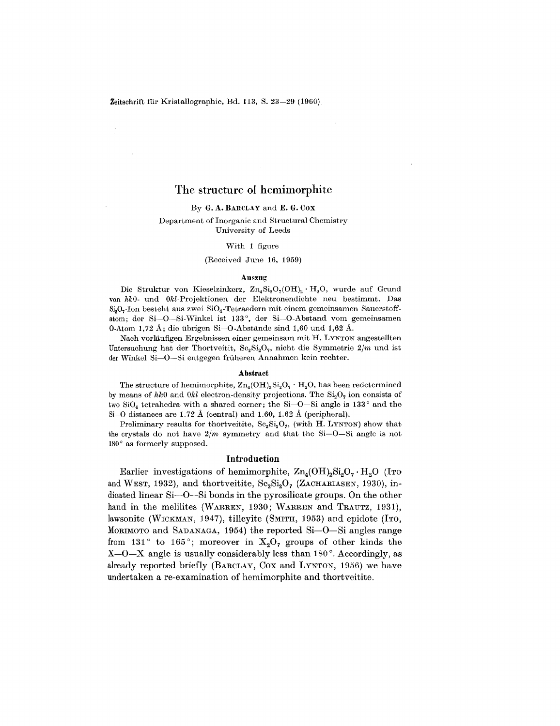# The structure of hemimorphite

#### By G. A. BARCLAY and E. G. COX

#### Department of Inorganic and Structural Chemistry University of Leeds

#### With 1 figure

#### (Received June 16, 1959)

#### Auszug

Die Struktur von Kieselzinkerz,  $\text{Zn}_4\text{Si}_2\text{O}_7(\text{OH})_2 \cdot \text{H}_2\text{O}$ , wurde auf Grund von *hkO-* und *Okl-Projektionen* der Elektronendichte neu bestimmt. Das  $Si<sub>2</sub>O<sub>7</sub>$ -Ion besteht aus zwei  $SiO<sub>4</sub>$ -Tetraedern mit einem gemeinsamen Sauerstoffatom; der Si-O-Si-Winkel ist 133°, der Si-O-Abstand vom gemeinsamen O-Atom 1,72 A; die ubrigen Si-O-Abstande sind 1,60 und 1,62 A.

Nach vorlaufigen Ergebnissen einer gemeinsam mit H. LYNTON angestellten Untersuchung hat der Thortveitit, Sc<sub>2</sub>Si<sub>2</sub>O<sub>7</sub>, nicht die Symmetrie 2/m und ist der Winkel Si-O-Si entgegen früheren Annahmen kein rechter.

#### Abstract

The structure of hemimorphite,  $\text{Zn}_4(\text{OH})_2\text{Si}_2\text{O}_7 \cdot \text{H}_2\text{O}$ , has been redetermined by means of  $hk0$  and  $0kl$  electron-density projections. The  $Si<sub>2</sub>O<sub>7</sub>$  ion consists of two  $SiO<sub>4</sub>$  tetrahedra with a shared corner; the Si-O-Si angle is 133 $^{\circ}$  and the Si-O distances are 1.72 Å (central) and 1.60, 1.62 Å (peripheral).

Preliminary results for thortveitite,  $Sc_2Si_2O_7$ , (with H. LYNTON) show that the crystals do not have  $2/m$  symmetry and that the Si-O-Si angle is not  $180°$  as formerly supposed.

#### Introduction

Earlier investigations of hemimorphite,  $\text{Zn}_{4}(\text{OH})_{2}\text{Si}_{2}\text{O}_{7} \cdot \text{H}_{2}\text{O}$  (ITo and WEST, 1932), and thortveitite,  $Sc_2Si_2O_7$  (ZACHARIASEN, 1930), indicated linear Si-O-Si bonds in the pyrosilicate groups. On the other hand in the melilites (WARREN, 1930; WARREN and TRAUTZ, 1931), lawsonite (WICKMAN, 1947), tilleyite (SMITH, 1953) and epidote (ITO, MORIMOTO and SADANAGA, 1954) the reported Si-O-Si angles range from 131 $\degree$  to 165 $\degree$ ; moreover in X<sub>2</sub>O<sub>7</sub> groups of other kinds the  $X$ -O-X angle is usually considerably less than 180 $^{\circ}$ . Accordingly, as already reported briefly (BARCLAY, Cox and LYNTON, 1956) we have undertaken a re-examination of hemimorphite and thortveitite.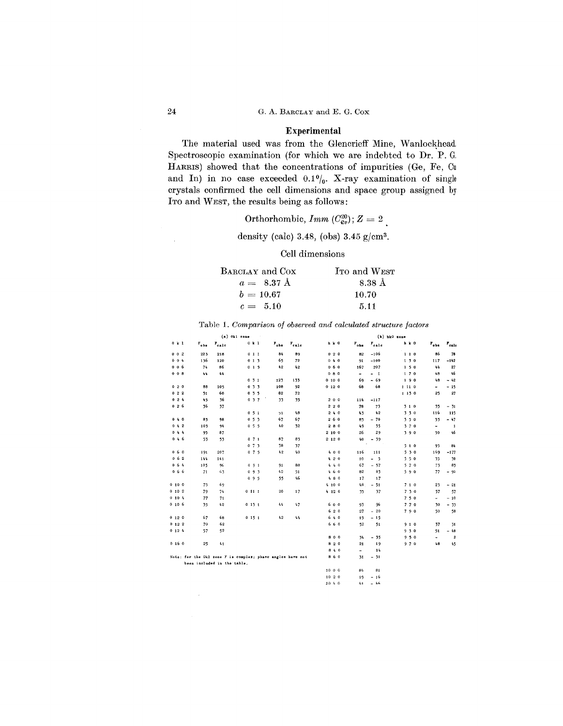## Experimental

The material used was from the Glencrieff Mine, Wanlockhead. Spectroscopic examination (for which we are indebted to Dr. P. G, HARRIS) showed that the concentrations of impurities (Ge, Fe, Cu and In) in no case exceeded  $0.1\%$ . X-ray examination of single crystals confirmed the cell dimensions and space group assigned by ITO and WEST, the results being as follows:

# Orthorhombic,  $Imm~(C^{20}_{2v}); Z = 2$

density (calc) 3.48, (obs) 3.45  $g/cm^3$ .

#### Cell dimensions

| BARCLAY and Cox | ITO and WEST |
|-----------------|--------------|
| $a = 8.37$ Å    | 8.38 A       |
| $b = 10.67$     | 10.70        |
| $c = 5.10$      | 5.11         |

|                  |                    |                             | $(a)$ Okl zone                                             |                    |                   |        |                |                                | $(b)$ hk $0$ zone |                          |                            |
|------------------|--------------------|-----------------------------|------------------------------------------------------------|--------------------|-------------------|--------|----------------|--------------------------------|-------------------|--------------------------|----------------------------|
| $0k$ 1           | $\mathbf{F_{obs}}$ | $\mathbf{r}_{\rm calc}$     | 0 k 1                                                      | $\mathbf{r_{obs}}$ | $r_{\text{calc}}$ | h k O  | $P_{obs}$      | $F_{calc}$                     | h k O             | $\mathbf{F_{obs}}$       | $\mathbf{r}_{\text{calc}}$ |
| $0 \t0 \t2$      | 223                | 218                         | 011                                                        | 84                 | 89                | 020    | 82             | $-106$                         | 110               | 86                       | 78                         |
| 0, 0, 4          | 136                | 120                         | 013                                                        | 65                 | 72                | 040    | 91             | $-100$                         | 130               | 117                      | $-142$                     |
| 0 <sub>0</sub> 6 | 74                 | 86                          | 015                                                        | 42                 | 42                | 060    | 167            | 207                            | 150               | 44                       | 27                         |
| $0 \t0 \t8$      | 44                 | 44                          |                                                            |                    |                   | 080    | $\blacksquare$ | $-1$                           | 170               | 48                       | 46                         |
|                  |                    |                             | 031                                                        | 123                | 133               | 0 10 0 | 69             | $-69$                          | 190               | 48                       | $-42$                      |
| 020              | 88                 | 105                         | 0, 3, 3                                                    | 108                | 92                | 0120   | 68             | 68                             | 1 11 0            | $\overline{\phantom{a}}$ | $-15$                      |
| 022              | 51                 | 60                          | 035                                                        | 82                 | 72                |        |                |                                | 1130              | 25                       | 27                         |
| 024              | 45                 | 36                          | 037                                                        | 33                 | 35                | 200    | 114            | $-117$                         |                   |                          |                            |
| 026              | 36                 | 37                          |                                                            |                    |                   | 220    | 78             | 73                             | 310               | 35                       | $-31$                      |
|                  |                    |                             | 051                                                        | 51                 | 48                | 240    | 43             | 42                             | 330               | 116                      | 115                        |
| 040              | 83                 | 98                          | 0, 5, 3                                                    | 67                 | 67                | 260    | 83             | 70<br>$\overline{\phantom{a}}$ | 350               | 53                       | $-47$                      |
| 0 4 2            | 103                | 94                          | 0, 5, 5                                                    | 40                 | 32                | 280    | 49             | 35                             | 370               | $\overline{\phantom{0}}$ | $\mathbf{1}$               |
| 044              | 95                 | 87                          |                                                            |                    |                   | 2100   | 26             | 29                             | 390               | 50                       | 46                         |
| 046              | 53                 | 53                          | 071                                                        | 87                 | 83                | 2120   | 40             | $-39$                          |                   |                          |                            |
|                  |                    |                             | 073                                                        | 38                 | 37                |        |                |                                | 510               | 95                       | 84                         |
| 0,6,0            | 191                | 207                         | 075                                                        | 42                 | 40                | 400    | 116            | 111                            | 530               | 169                      | $-177$                     |
| $0\ 6\ 2$        | 144                | 141                         |                                                            |                    |                   | 420    | 10             | $-5$                           | 550               | 35                       | 30                         |
| 0, 6, 4          | 105                | 96                          | 091                                                        | 91                 | 88                | 440    | 67             | $-57$                          | 570               | 73                       | 85                         |
| 066              | 71                 | 63                          | 0.9.3                                                      | 42                 | 51                | 460    | 82             | 85                             | 590               | 77                       | $-90$                      |
|                  |                    |                             | 095                                                        | 55                 | 46                | 480    | 17             | 17                             |                   |                          |                            |
| 0100             | 73                 | 69                          |                                                            |                    |                   | 4100   | 48             | $-51$                          | 710               | 23                       | $-21$                      |
| 0 10 2           | 79                 | 74                          | 0111                                                       | 20                 | 17                | 4 12 0 | 35             | 37                             | 730               | 57                       | 57                         |
| 0 10 4           | 77                 | 71                          |                                                            |                    |                   |        |                |                                | 750               | $\blacksquare$           | $-10$                      |
| 0106             | 35                 | 42                          | 0131                                                       | 44                 | 47                | 600    | 93             | 96                             | 770               | 30                       | $-33$                      |
|                  |                    |                             |                                                            |                    |                   | 620    | 27             | $-20$                          | 790               | 50                       | 50                         |
| 0120             | 67                 | 68                          | 0151                                                       | 42                 | $\mathbf{L}$      | 640    | 19             | $-15$                          |                   |                          |                            |
| 0122             | 70                 | $-62$                       |                                                            |                    |                   | 660    | 52             | 51                             | 910               | 37                       | 31                         |
| 0, 12, 4         | 57                 | 52                          |                                                            |                    |                   |        |                |                                | 930               | 51                       | $-48$                      |
|                  |                    |                             |                                                            |                    |                   | 800    | 34             | $-35$                          | 950               | $\overline{\phantom{a}}$ | $\mathbf{2}$               |
| 0160             | 25                 | 41                          |                                                            |                    |                   | 820    | 21             | 19                             | 970               | 48                       | 45                         |
|                  |                    |                             |                                                            |                    |                   | 840    | ÷.             | 14                             |                   |                          |                            |
|                  |                    |                             | Note: for the Okl zone F is complex; phase angles have not |                    |                   | 860    | 31             | $-31$                          |                   |                          |                            |
|                  |                    | been included in the table. |                                                            |                    |                   |        |                |                                |                   |                          |                            |
|                  |                    |                             |                                                            |                    |                   | 1000   | 8 <sub>h</sub> | 81                             |                   |                          |                            |
|                  |                    |                             |                                                            |                    |                   | 1020   | 19             | $-16$                          |                   |                          |                            |
|                  |                    |                             |                                                            |                    |                   | 1040   | 41             | $-46$                          |                   |                          |                            |
|                  |                    |                             |                                                            |                    |                   |        |                |                                |                   |                          |                            |

#### Table *1. Comparison of observedand calculated structure factors*

 $\bar{z}$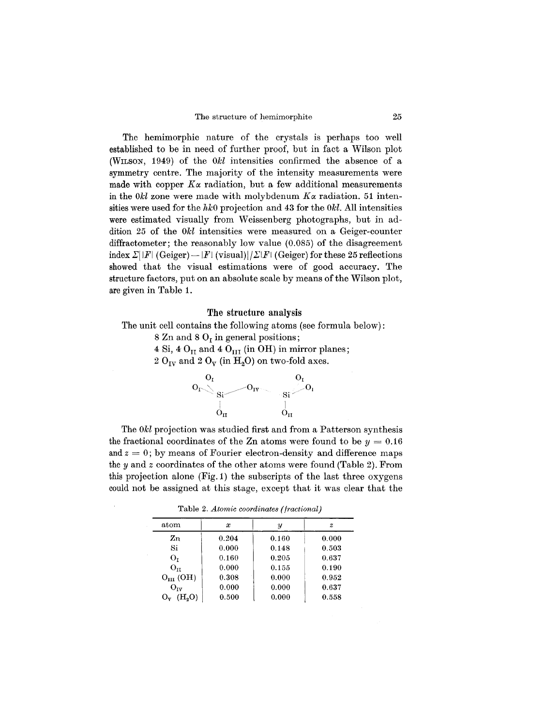The hemimorphic nature of the crystals is perhaps too well established to be in need of further proof, but in fact a Wilson plot (WILSON, 1949) of the *Okl* intensities confirmed the absence of a symmetry centre. The majority of the intensity measurements were made with copper  $K_{\alpha}$  radiation, but a few additional measurements in the *Okl* zone were made with molybdenum  $K_{\alpha}$  radiation. 51 intensities were used for the  $hk0$  projection and 43 for the  $0k$ . All intensities were estimated visually from Weissenberg photographs, but in addition 25 of the *Okl* intensities were measured on a Geiger-counter diffractometer; the reasonably low value (0.085) of the disagreement index  $\sum ||F||$  (Geiger) - |F| (visual)| $\sum |F|$  (Geiger) for these 25 reflections showed that the visual estimations were of good accuracy. The structure factors, put on an absolute scale by means of the Wilson plot, are given in Table 1.

### **The** structure analysis

The unit cell contains the following atoms (see formula below): 8 Zn and 8  $O<sub>r</sub>$  in general positions; 4 Si, 4  $O<sub>II</sub>$  and 4  $O<sub>III</sub>$  (in OH) in mirror planes;  $2$   $\mathrm{O_{IV}}$  and  $2$   $\mathrm{O_{V}}$  (in  $\mathrm{H_{2}O})$  on two-fold axes.



The *Okl* projection was studied first and from a Patterson synthesis the fractional coordinates of the Zn atoms were found to be  $y = 0.16$ and  $z = 0$ ; by means of Fourier electron-density and difference maps the *y* and *z* coordinates of the other atoms were found (Table 2). From this projection alone (Fig. 1) the subscripts of the last three oxygens could not be assigned at this stage, except that it was clear that the

Table 2. *Atomic coordinates (fractional)*

| atom                    | $\boldsymbol{x}$ | ¥     | $\boldsymbol{z}$ |
|-------------------------|------------------|-------|------------------|
| $\mathbf{Z}\mathbf{n}$  | 0.204            | 0.160 | 0.000            |
| Si                      | 0.000            | 0.148 | 0.503            |
| $O_T$                   | 0.160            | 0.205 | 0.637            |
| $O_{11}$                | 0.000            | 0.155 | 0.190            |
| $O_{III}$ (OH)          | 0.308            | 0.000 | 0.952            |
| $O_{rv}$                | 0.000            | 0.000 | 0.637            |
| (H <sub>0</sub> )<br>Ov | 0.500            | 0.000 | 0.558            |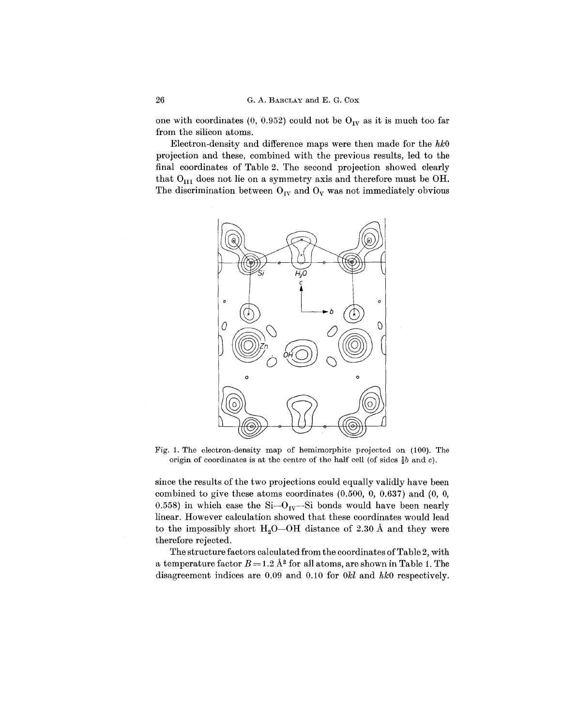one with coordinates (0, 0.952) could not be  $O_{IV}$  as it is much too far from the silicon atoms.

Electron-density and difference maps were then made for the *hkO* projection and these, combined with the previous results, led to the final coordinates of Table 2. The second projection showed clearly that  $O_{III}$  does not lie on a symmetry axis and therefore must be OH. The discrimination between  $O_{IV}$  and  $O_{V}$  was not immediately obvious



Fig. 1. The electron-density map of hemimorphite projected on (100). The origin of coordinates is at the centre of the half cell (of sides *!b* and *c).*

since the results of the two projections could equally validly have been combined to give these atoms coordinates (0.500, 0, 0.637) and (0, 0, 0.558) in which case the  $Si-O_{IV}-Si$  bonds would have been nearly linear. However calculation showed that these coordinates would lead to the impossibly short  $H_2O$ —OH distance of 2.30 Å and they were therefore rejected.

The structure factors calculated from the coordinates of Table 2, with a temperature factor  $B = 1.2 \text{ Å}^2$  for all atoms, are shown in Table 1. The disagreement indices are 0.09 and 0.10 for *Okl* and *hkO* respectively.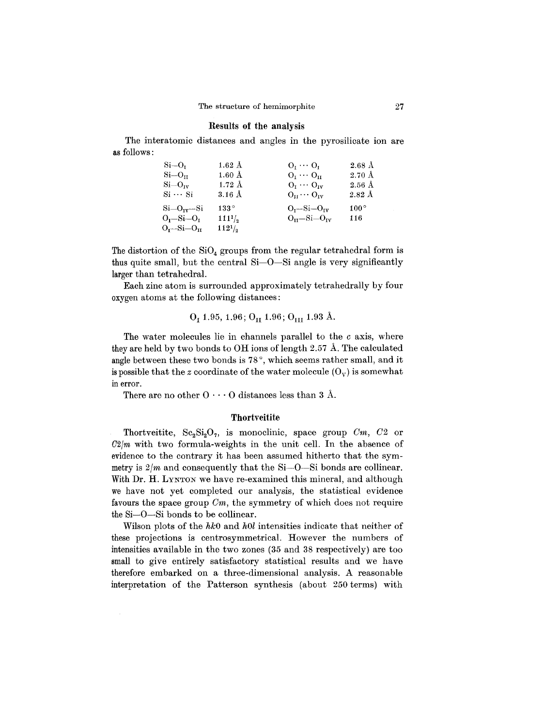#### Results of the analysis

The interatomic distances and angles in the pyrosilicate ion are as follows:

| $Si=Or$              | $1.62~\mathrm{\AA}$ | $O_{I} \cdots O_{I}$                 | $2.68~\mathrm{\AA}$ |
|----------------------|---------------------|--------------------------------------|---------------------|
| $Si=O_{11}$          | $1.60 \text{ Å}$    | $O_{\rm T} \cdots O_{\rm tr}$        | $2.70~\mathrm{\AA}$ |
| $Si=O_{IV}$          | $1.72~\text{\AA}$   | $O_t \cdots O_{tv}$                  | $2.56\;{\rm \AA}$   |
| $Si \cdot Si$        | $3.16 \text{ Å}$    | $O_{\text{tr}} \cdots O_{\text{rv}}$ | $2.82~\text{\AA}$   |
| $Si-Oiv-Si$          | $133^{\circ}$       | $O_r-Si-O_{IV}$                      | $100^{\circ}$       |
| $O_r-Si-O_r$         | $111^{1/2}$         | $O_{\rm tr}-S_{\rm i}-O_{\rm tv}$    | 116                 |
| $O_{L}$ -Si- $O_{H}$ | $112^{1/2}$         |                                      |                     |

The distortion of the  $SiO<sub>4</sub>$  groups from the regular tetrahedral form is thus quite small, but the central  $Si-O-Si$  angle is very significantly larger than tetrahedral.

Each zinc atom is surrounded approximately tetrahedrally by four oxygen atoms at the following distances:

$$
\mathrm{O}_\mathrm{I}\ 1.95,\,1.96\,;\,\mathrm{O}_\mathrm{II}\ 1.96\,;\,\mathrm{O}_\mathrm{III}\ 1.93\;\text{\AA}.
$$

The water molecules lie in channels parallel to the *c* axis, where they are held by two bonds to  $\overline{OH}$  ions of length 2.57 Å. The calculated angle between these two bonds is 78°, which seems rather small, and it is possible that the *z* coordinate of the water molecule  $(O_v)$  is somewhat in error.

There are no other  $\mathrm{O}\cdot\cdot\cdot\mathrm{O}$  distances less than 3 Å.

### **Thortveitite**

Thortveitite,  $\text{Sc}_2\text{Si}_2\text{O}_7$ , is monoclinic, space group  $\text{C}_m$ ,  $\text{C}_2$  or  $C2/m$  with two formula-weights in the unit cell. In the absence of evidence to the contrary it has been assumed hitherto that the symmetry is  $2/m$  and consequently that the Si- $-$ O- $-$ Si bonds are collinear. With Dr. H. LYNTON we have re-examined this mineral, and although we have not yet completed our analysis, the statistical evidence favours the space group *Cm,* the symmetry of which does not require the Si-O-Si bonds to be collinear.

Wilson plots of the *hkO* and *hOl* intensities indicate that neither of these projections is centrosymmetrical. However the numbers of intensities available in the two zones (35 and 38 respectively) are too small to give entirely satisfactory statistical results and we have therefore embarked on a three-dimensional analysis. A reasonable interpretation of the Patterson synthesis (about 250 terms) with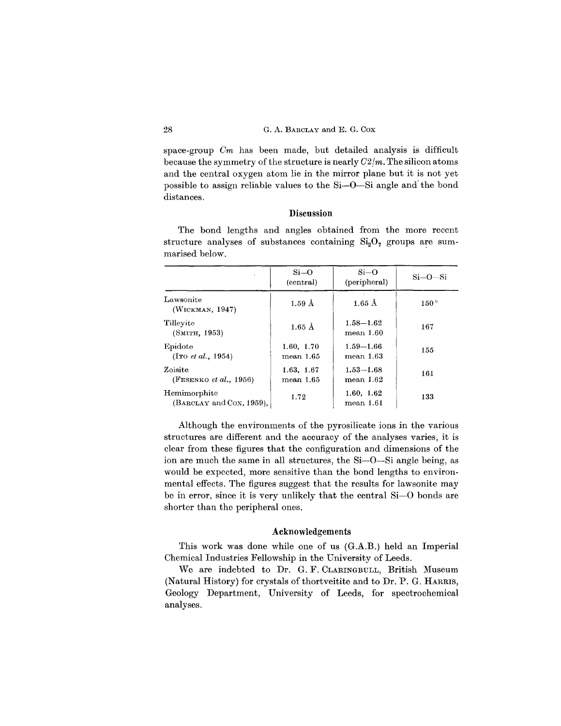space-group *Om* has been made, but detailed analysis is difficult because the symmetry of the structure is nearly  $C2/m$ . The silicon atoms and the central oxygen atom lie in the mirror plane but it is not yet possible to assign reliable values to the Si-O-Si angle and'the bond distances.

#### **Discussion**

The bond lengths and angles obtained from the more recen structure analyses of substances containing  $\mathrm{Si}_2\mathrm{O}_7$  groups are sum marised below.

|                                           | $Si-O$<br>(central)        | $Si-O$<br>(peripheral)        | $Si$ —O— $Si$ |
|-------------------------------------------|----------------------------|-------------------------------|---------------|
| Lawsonite<br>(WICKMAN, 1947)              | $1.59 \text{ Å}$           | $1.65 \text{ Å}$              | $150^{\circ}$ |
| Tilleyite<br>(SMITH, 1953)                | $1.65 \text{ Å}$           | $1.58 - 1.62$<br>$mean\,1.60$ | 167           |
| Epidote<br>(ITO <i>et al.</i> , 1954)     | 1.60, 1.70<br>$mean\ 1.65$ | $1.59 - 1.66$<br>$mean$ 1.63  | 155           |
| Zoisite<br>(FESENKO <i>et al.</i> , 1956) | 1.63, 1.67<br>mean 1.65    | $1.53 - 1.68$<br>mean 1.62    | 161           |
| Hemimorphite<br>(BARCLAY and Cox, 1959),  | 1.72                       | 1.60, 1.62<br>mean 1.61       | 133           |

Although the environments of the pyrosilicate ions in the various structures are different and the accuracy of the analyses varies, it is clear from these figures that the configuration and dimensions of the ion are much the same in all structures, the Si-O-Si angle being, as would be expected, more sensitive than the bond lengths to environmental effects. The figures suggest that the results for lawsonite may be in error, since it is very unlikely that the central Si-O bonds are shorter than the peripheral ones.

## **Acknowledgements**

This work was done while one of us (G.A.B.) held an Imperial Chemical Industries Fellowship in the University of Leeds.

We are indebted to Dr. G. F. CLARINGBULL, British Museum (Natural History) for crystals of thortveitite and to Dr. P. G. HARRIS, Geology Department, University of Leeds, for spectrochemical analyses.